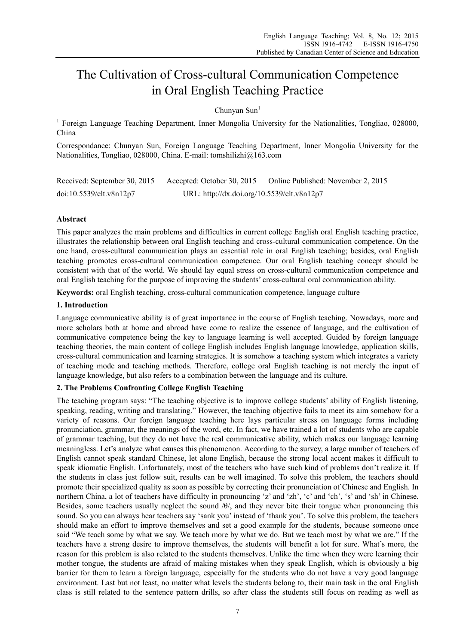# The Cultivation of Cross-cultural Communication Competence in Oral English Teaching Practice

Chunyan Sun $<sup>1</sup>$ </sup>

<sup>1</sup> Foreign Language Teaching Department, Inner Mongolia University for the Nationalities, Tongliao, 028000, China

Correspondance: Chunyan Sun, Foreign Language Teaching Department, Inner Mongolia University for the Nationalities, Tongliao, 028000, China. E-mail: tomshilizhi@163.com

| Received: September 30, 2015 | Accepted: October 30, 2015                 | Online Published: November 2, 2015 |
|------------------------------|--------------------------------------------|------------------------------------|
| doi:10.5539/elt.v8n12p7      | URL: http://dx.doi.org/10.5539/elt.v8n12p7 |                                    |

# **Abstract**

This paper analyzes the main problems and difficulties in current college English oral English teaching practice, illustrates the relationship between oral English teaching and cross-cultural communication competence. On the one hand, cross-cultural communication plays an essential role in oral English teaching; besides, oral English teaching promotes cross-cultural communication competence. Our oral English teaching concept should be consistent with that of the world. We should lay equal stress on cross-cultural communication competence and oral English teaching for the purpose of improving the students' cross-cultural oral communication ability.

**Keywords:** oral English teaching, cross-cultural communication competence, language culture

# **1. Introduction**

Language communicative ability is of great importance in the course of English teaching. Nowadays, more and more scholars both at home and abroad have come to realize the essence of language, and the cultivation of communicative competence being the key to language learning is well accepted. Guided by foreign language teaching theories, the main content of college English includes English language knowledge, application skills, cross-cultural communication and learning strategies. It is somehow a teaching system which integrates a variety of teaching mode and teaching methods. Therefore, college oral English teaching is not merely the input of language knowledge, but also refers to a combination between the language and its culture.

# **2. The Problems Confronting College English Teaching**

The teaching program says: "The teaching objective is to improve college students' ability of English listening, speaking, reading, writing and translating." However, the teaching objective fails to meet its aim somehow for a variety of reasons. Our foreign language teaching here lays particular stress on language forms including pronunciation, grammar, the meanings of the word, etc. In fact, we have trained a lot of students who are capable of grammar teaching, but they do not have the real communicative ability, which makes our language learning meaningless. Let's analyze what causes this phenomenon. According to the survey, a large number of teachers of English cannot speak standard Chinese, let alone English, because the strong local accent makes it difficult to speak idiomatic English. Unfortunately, most of the teachers who have such kind of problems don't realize it. If the students in class just follow suit, results can be well imagined. To solve this problem, the teachers should promote their specialized quality as soon as possible by correcting their pronunciation of Chinese and English. In northern China, a lot of teachers have difficulty in pronouncing 'z' and 'zh', 'c' and 'ch', 's' and 'sh' in Chinese. Besides, some teachers usually neglect the sound /θ/, and they never bite their tongue when pronouncing this sound. So you can always hear teachers say 'sank you' instead of 'thank you'. To solve this problem, the teachers should make an effort to improve themselves and set a good example for the students, because someone once said "We teach some by what we say. We teach more by what we do. But we teach most by what we are." If the teachers have a strong desire to improve themselves, the students will benefit a lot for sure. What's more, the reason for this problem is also related to the students themselves. Unlike the time when they were learning their mother tongue, the students are afraid of making mistakes when they speak English, which is obviously a big barrier for them to learn a foreign language, especially for the students who do not have a very good language environment. Last but not least, no matter what levels the students belong to, their main task in the oral English class is still related to the sentence pattern drills, so after class the students still focus on reading as well as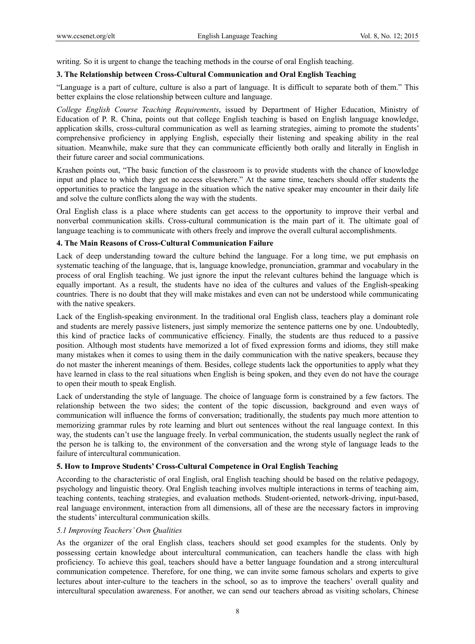writing. So it is urgent to change the teaching methods in the course of oral English teaching.

### **3. The Relationship between Cross-Cultural Communication and Oral English Teaching**

"Language is a part of culture, culture is also a part of language. It is difficult to separate both of them." This better explains the close relationship between culture and language.

*College English Course Teaching Requirements*, issued by Department of Higher Education, Ministry of Education of P. R. China, points out that college English teaching is based on English language knowledge, application skills, cross-cultural communication as well as learning strategies, aiming to promote the students' comprehensive proficiency in applying English, especially their listening and speaking ability in the real situation. Meanwhile, make sure that they can communicate efficiently both orally and literally in English in their future career and social communications.

Krashen points out, "The basic function of the classroom is to provide students with the chance of knowledge input and place to which they get no access elsewhere." At the same time, teachers should offer students the opportunities to practice the language in the situation which the native speaker may encounter in their daily life and solve the culture conflicts along the way with the students.

Oral English class is a place where students can get access to the opportunity to improve their verbal and nonverbal communication skills. Cross-cultural communication is the main part of it. The ultimate goal of language teaching is to communicate with others freely and improve the overall cultural accomplishments.

## **4. The Main Reasons of Cross-Cultural Communication Failure**

Lack of deep understanding toward the culture behind the language. For a long time, we put emphasis on systematic teaching of the language, that is, language knowledge, pronunciation, grammar and vocabulary in the process of oral English teaching. We just ignore the input the relevant cultures behind the language which is equally important. As a result, the students have no idea of the cultures and values of the English-speaking countries. There is no doubt that they will make mistakes and even can not be understood while communicating with the native speakers.

Lack of the English-speaking environment. In the traditional oral English class, teachers play a dominant role and students are merely passive listeners, just simply memorize the sentence patterns one by one. Undoubtedly, this kind of practice lacks of communicative efficiency. Finally, the students are thus reduced to a passive position. Although most students have memorized a lot of fixed expression forms and idioms, they still make many mistakes when it comes to using them in the daily communication with the native speakers, because they do not master the inherent meanings of them. Besides, college students lack the opportunities to apply what they have learned in class to the real situations when English is being spoken, and they even do not have the courage to open their mouth to speak English.

Lack of understanding the style of language. The choice of language form is constrained by a few factors. The relationship between the two sides; the content of the topic discussion, background and even ways of communication will influence the forms of conversation; traditionally, the students pay much more attention to memorizing grammar rules by rote learning and blurt out sentences without the real language context. In this way, the students can't use the language freely. In verbal communication, the students usually neglect the rank of the person he is talking to, the environment of the conversation and the wrong style of language leads to the failure of intercultural communication.

#### **5. How to Improve Students' Cross-Cultural Competence in Oral English Teaching**

According to the characteristic of oral English, oral English teaching should be based on the relative pedagogy, psychology and linguistic theory. Oral English teaching involves multiple interactions in terms of teaching aim, teaching contents, teaching strategies, and evaluation methods. Student-oriented, network-driving, input-based, real language environment, interaction from all dimensions, all of these are the necessary factors in improving the students' intercultural communication skills.

## *5.1 Improving Teachers' Own Qualities*

As the organizer of the oral English class, teachers should set good examples for the students. Only by possessing certain knowledge about intercultural communication, can teachers handle the class with high proficiency. To achieve this goal, teachers should have a better language foundation and a strong intercultural communication competence. Therefore, for one thing, we can invite some famous scholars and experts to give lectures about inter-culture to the teachers in the school, so as to improve the teachers' overall quality and intercultural speculation awareness. For another, we can send our teachers abroad as visiting scholars, Chinese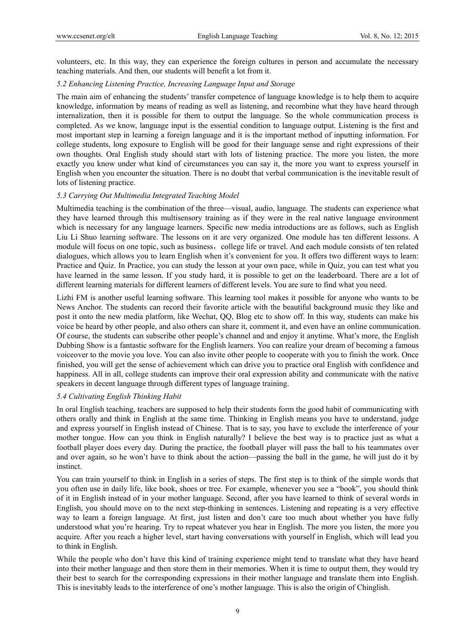volunteers, etc. In this way, they can experience the foreign cultures in person and accumulate the necessary teaching materials. And then, our students will benefit a lot from it.

#### *5.2 Enhancing Listening Practice, Increasing Language Input and Storage*

The main aim of enhancing the students' transfer competence of language knowledge is to help them to acquire knowledge, information by means of reading as well as listening, and recombine what they have heard through internalization, then it is possible for them to output the language. So the whole communication process is completed. As we know, language input is the essential condition to language output. Listening is the first and most important step in learning a foreign language and it is the important method of inputting information. For college students, long exposure to English will be good for their language sense and right expressions of their own thoughts. Oral English study should start with lots of listening practice. The more you listen, the more exactly you know under what kind of circumstances you can say it, the more you want to express yourself in English when you encounter the situation. There is no doubt that verbal communication is the inevitable result of lots of listening practice.

#### *5.3 Carrying Out Multimedia Integrated Teaching Model*

Multimedia teaching is the combination of the three—visual, audio, language. The students can experience what they have learned through this multisensory training as if they were in the real native language environment which is necessary for any language learners. Specific new media introductions are as follows, such as English Liu Li Shuo learning software. The lessons on it are very organized. One module has ten different lessons. A module will focus on one topic, such as business, college life or travel. And each module consists of ten related dialogues, which allows you to learn English when it's convenient for you. It offers two different ways to learn: Practice and Quiz. In Practice, you can study the lesson at your own pace, while in Quiz, you can test what you have learned in the same lesson. If you study hard, it is possible to get on the leaderboard. There are a lot of different learning materials for different learners of different levels. You are sure to find what you need.

Lizhi FM is another useful learning software. This learning tool makes it possible for anyone who wants to be News Anchor. The students can record their favorite article with the beautiful background music they like and post it onto the new media platform, like Wechat, QQ, Blog etc to show off. In this way, students can make his voice be heard by other people, and also others can share it, comment it, and even have an online communication. Of course, the students can subscribe other people's channel and and enjoy it anytime. What's more, the English Dubbing Show is a fantastic software for the English learners. You can realize your dream of becoming a famous voiceover to the movie you love. You can also invite other people to cooperate with you to finish the work. Once finished, you will get the sense of achievement which can drive you to practice oral English with confidence and happiness. All in all, college students can improve their oral expression ability and communicate with the native speakers in decent language through different types of language training.

#### *5.4 Cultivating English Thinking Habit*

In oral English teaching, teachers are supposed to help their students form the good habit of communicating with others orally and think in English at the same time. Thinking in English means you have to understand, judge and express yourself in English instead of Chinese. That is to say, you have to exclude the interference of your mother tongue. How can you think in English naturally? I believe the best way is to practice just as what a football player does every day. During the practice, the football player will pass the ball to his teammates over and over again, so he won't have to think about the action—passing the ball in the game, he will just do it by instinct.

You can train yourself to think in English in a series of steps. The first step is to think of the simple words that you often use in daily life, like book, shoes or tree. For example, whenever you see a "book", you should think of it in English instead of in your mother language. Second, after you have learned to think of several words in English, you should move on to the next step-thinking in sentences. Listening and repeating is a very effective way to learn a foreign language. At first, just listen and don't care too much about whether you have fully understood what you're hearing. Try to repeat whatever you hear in English. The more you listen, the more you acquire. After you reach a higher level, start having conversations with yourself in English, which will lead you to think in English.

While the people who don't have this kind of training experience might tend to translate what they have heard into their mother language and then store them in their memories. When it is time to output them, they would try their best to search for the corresponding expressions in their mother language and translate them into English. This is inevitably leads to the interference of one's mother language. This is also the origin of Chinglish.